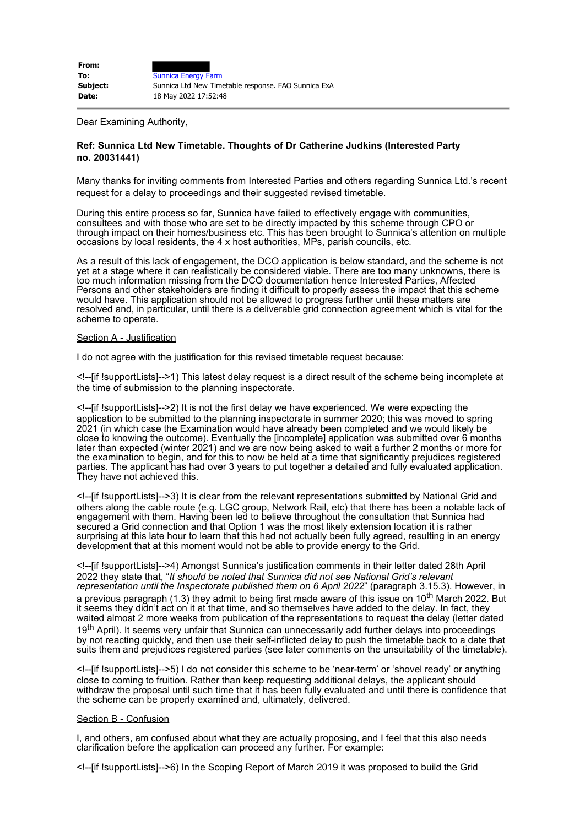Dear Examining Authority,

## **Ref: Sunnica Ltd New Timetable. Thoughts of Dr Catherine Judkins (Interested Party no. 20031441)**

Many thanks for inviting comments from Interested Parties and others regarding Sunnica Ltd.'s recent request for a delay to proceedings and their suggested revised timetable.

During this entire process so far, Sunnica have failed to effectively engage with communities, consultees and with those who are set to be directly impacted by this scheme through CPO or through impact on their homes/business etc. This has been brought to Sunnica's attention on multiple occasions by local residents, the 4 x host authorities, MPs, parish councils, etc.

As a result of this lack of engagement, the DCO application is below standard, and the scheme is not yet at a stage where it can realistically be considered viable. There are too many unknowns, there is too much information missing from the DCO documentation hence Interested Parties, Affected Persons and other stakeholders are finding it difficult to properly assess the impact that this scheme would have. This application should not be allowed to progress further until these matters are resolved and, in particular, until there is a deliverable grid connection agreement which is vital for the scheme to operate.

## Section A - Justification

I do not agree with the justification for this revised timetable request because:

<!--[if !supportLists]-->1) This latest delay request is a direct result of the scheme being incomplete at the time of submission to the planning inspectorate.

<!--[if !supportLists]-->2) It is not the first delay we have experienced. We were expecting the application to be submitted to the planning inspectorate in summer 2020; this was moved to spring 2021 (in which case the Examination would have already been completed and we would likely be close to knowing the outcome). Eventually the [incomplete] application was submitted over 6 months later than expected (winter 2021) and we are now being asked to wait a further 2 months or more for the examination to begin, and for this to now be held at a time that significantly prejudices registered parties. The applicant has had over 3 years to put together a detailed and fully evaluated application. They have not achieved this.

<!--[if !supportLists]-->3) It is clear from the relevant representations submitted by National Grid and others along the cable route (e.g. LGC group, Network Rail, etc) that there has been a notable lack of engagement with them. Having been led to believe throughout the consultation that Sunnica had secured a Grid connection and that Option 1 was the most likely extension location it is rather surprising at this late hour to learn that this had not actually been fully agreed, resulting in an energy development that at this moment would not be able to provide energy to the Grid.

<!--[if !supportLists]-->4) Amongst Sunnica's justification comments in their letter dated 28th April 2022 they state that, "*It should be noted that Sunnica did not see National Grid's relevant representation until the Inspectorate published them on 6 April 2022*" (paragraph 3.15.3). However, in a previous paragraph (1.3) they admit to being first made aware of this issue on 10<sup>th</sup> March 2022. But it seems they didn't act on it at that time, and so themselves have added to the delay. In fact, they waited almost 2 more weeks from publication of the representations to request the delay (letter dated 19<sup>th</sup> April). It seems very unfair that Sunnica can unnecessarily add further delays into proceedings by not reacting quickly, and then use their self-inflicted delay to push the timetable back to a date that suits them and prejudices registered parties (see later comments on the unsuitability of the timetable).

<!--[if !supportLists]-->5) I do not consider this scheme to be 'near-term' or 'shovel ready' or anything close to coming to fruition. Rather than keep requesting additional delays, the applicant should withdraw the proposal until such time that it has been fully evaluated and until there is confidence that the scheme can be properly examined and, ultimately, delivered.

## Section B - Confusion

I, and others, am confused about what they are actually proposing, and I feel that this also needs clarification before the application can proceed any further. For example:

<!--[if !supportLists]-->6) In the Scoping Report of March 2019 it was proposed to build the Grid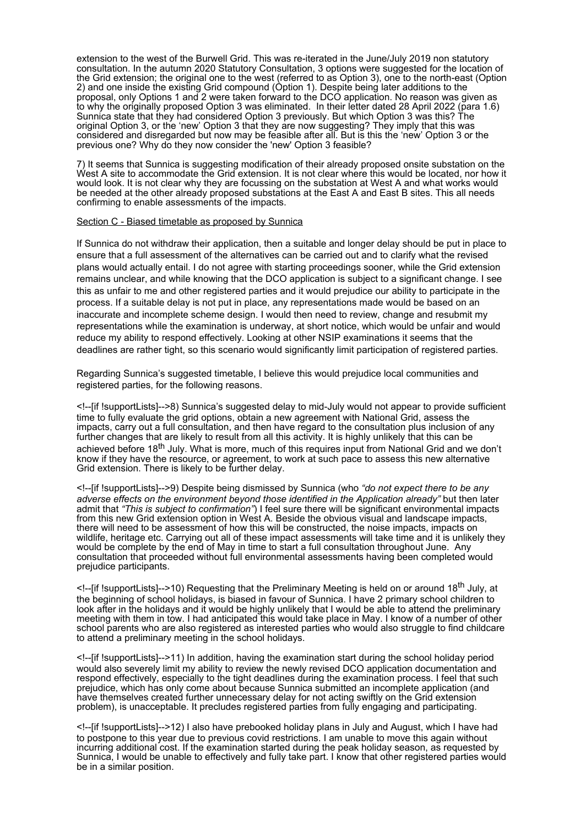extension to the west of the Burwell Grid. This was re-iterated in the June/July 2019 non statutory consultation. In the autumn 2020 Statutory Consultation, 3 options were suggested for the location of the Grid extension; the original one to the west (referred to as Option 3), one to the north-east (Option 2) and one inside the existing Grid compound (Option 1). Despite being later additions to the proposal, only Options 1 and 2 were taken forward to the DCO application. No reason was given as to why the originally proposed Option 3 was eliminated. In their letter dated 28 April 2022 (para 1.6) Sunnica state that they had considered Option 3 previously. But which Option 3 was this? The original Option 3, or the 'new' Option 3 that they are now suggesting? They imply that this was considered and disregarded but now may be feasible after all. But is this the 'new' Option 3 or the previous one? Why do they now consider the 'new' Option 3 feasible?

7) It seems that Sunnica is suggesting modification of their already proposed onsite substation on the West A site to accommodate the Grid extension. It is not clear where this would be located, nor how it would look. It is not clear why they are focussing on the substation at West A and what works would be needed at the other already proposed substations at the East A and East B sites. This all needs confirming to enable assessments of the impacts.

## Section C - Biased timetable as proposed by Sunnica

If Sunnica do not withdraw their application, then a suitable and longer delay should be put in place to ensure that a full assessment of the alternatives can be carried out and to clarify what the revised plans would actually entail. I do not agree with starting proceedings sooner, while the Grid extension remains unclear, and while knowing that the DCO application is subject to a significant change. I see this as unfair to me and other registered parties and it would prejudice our ability to participate in the process. If a suitable delay is not put in place, any representations made would be based on an inaccurate and incomplete scheme design. I would then need to review, change and resubmit my representations while the examination is underway, at short notice, which would be unfair and would reduce my ability to respond effectively. Looking at other NSIP examinations it seems that the deadlines are rather tight, so this scenario would significantly limit participation of registered parties.

Regarding Sunnica's suggested timetable, I believe this would prejudice local communities and registered parties, for the following reasons.

<!--[if !supportLists]-->8) Sunnica's suggested delay to mid-July would not appear to provide sufficient time to fully evaluate the grid options, obtain a new agreement with National Grid, assess the impacts, carry out a full consultation, and then have regard to the consultation plus inclusion of any further changes that are likely to result from all this activity. It is highly unlikely that this can be achieved before 18<sup>th</sup> July. What is more, much of this requires input from National Grid and we don't know if they have the resource, or agreement, to work at such pace to assess this new alternative Grid extension. There is likely to be further delay.

<!--[if !supportLists]-->9) Despite being dismissed by Sunnica (who *"do not expect there to be any adverse effects on the environment beyond those identified in the Application already"* but then later admit that *"This is subject to confirmation"*) I feel sure there will be significant environmental impacts from this new Grid extension option in West A. Beside the obvious visual and landscape impacts, there will need to be assessment of how this will be constructed, the noise impacts, impacts on wildlife, heritage etc. Carrying out all of these impact assessments will take time and it is unlikely they would be complete by the end of May in time to start a full consultation throughout June. Any consultation that proceeded without full environmental assessments having been completed would prejudice participants.

<!--[if !supportLists]-->10) Requesting that the Preliminary Meeting is held on or around 18th July, at the beginning of school holidays, is biased in favour of Sunnica. I have 2 primary school children to look after in the holidays and it would be highly unlikely that I would be able to attend the preliminary meeting with them in tow. I had anticipated this would take place in May. I know of a number of other school parents who are also registered as interested parties who would also struggle to find childcare to attend a preliminary meeting in the school holidays.

<!--[if !supportLists]-->11) In addition, having the examination start during the school holiday period would also severely limit my ability to review the newly revised DCO application documentation and respond effectively, especially to the tight deadlines during the examination process. I feel that such prejudice, which has only come about because Sunnica submitted an incomplete application (and have themselves created further unnecessary delay for not acting swiftly on the Grid extension problem), is unacceptable. It precludes registered parties from fully engaging and participating.

<!--[if !supportLists]-->12) I also have prebooked holiday plans in July and August, which I have had to postpone to this year due to previous covid restrictions. I am unable to move this again without incurring additional cost. If the examination started during the peak holiday season, as requested by Sunnica, I would be unable to effectively and fully take part. I know that other registered parties would be in a similar position.